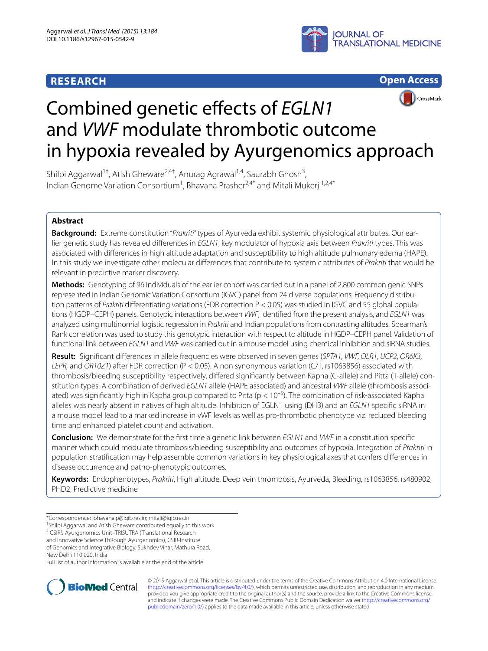## **RESEARCH**







# Combined genetic effects of *EGLN1* and *VWF* modulate thrombotic outcome in hypoxia revealed by Ayurgenomics approach

Shilpi Aggarwal<sup>1†</sup>, Atish Gheware<sup>2,4†</sup>, Anurag Agrawal<sup>1,4</sup>, Saurabh Ghosh<sup>3</sup>, Indian Genome Variation Consortium<sup>1</sup>, Bhavana Prasher<sup>2,4\*</sup> and Mitali Mukerji<sup>1,2,4\*</sup>

## **Abstract**

**Background:** Extreme constitution "Prakriti" types of Ayurveda exhibit systemic physiological attributes. Our earlier genetic study has revealed differences in EGLN1, key modulator of hypoxia axis between Prakriti types. This was associated with differences in high altitude adaptation and susceptibility to high altitude pulmonary edema (HAPE). In this study we investigate other molecular differences that contribute to systemic attributes of Prakriti that would be relevant in predictive marker discovery.

**Methods:** Genotyping of 96 individuals of the earlier cohort was carried out in a panel of 2,800 common genic SNPs represented in Indian Genomic Variation Consortium (IGVC) panel from 24 diverse populations. Frequency distribution patterns of Prakriti differentiating variations (FDR correction P < 0.05) was studied in IGVC and 55 global populations (HGDP–CEPH) panels. Genotypic interactions between VWF, identified from the present analysis, and EGLN1 was analyzed using multinomial logistic regression in Prakriti and Indian populations from contrasting altitudes. Spearman's Rank correlation was used to study this genotypic interaction with respect to altitude in HGDP–CEPH panel. Validation of functional link between EGLN1 and VWF was carried out in a mouse model using chemical inhibition and siRNA studies.

**Result:** Significant differences in allele frequencies were observed in seven genes (SPTA1, VWF, OLR1, UCP2, OR6K3, LEPR, and OR10Z1) after FDR correction (P < 0.05). A non synonymous variation (C/T, rs1063856) associated with thrombosis/bleeding susceptibility respectively, differed significantly between Kapha (C-allele) and Pitta (T-allele) constitution types. A combination of derived EGLN1 allele (HAPE associated) and ancestral VWF allele (thrombosis associated) was significantly high in Kapha group compared to Pitta ( $p < 10^{-5}$ ). The combination of risk-associated Kapha alleles was nearly absent in natives of high altitude. Inhibition of EGLN1 using (DHB) and an EGLN1 specific siRNA in a mouse model lead to a marked increase in vWF levels as well as pro-thrombotic phenotype viz. reduced bleeding time and enhanced platelet count and activation.

**Conclusion:** We demonstrate for the first time a genetic link between EGLN1 and VWF in a constitution specific manner which could modulate thrombosis/bleeding susceptibility and outcomes of hypoxia. Integration of Prakriti in population stratification may help assemble common variations in key physiological axes that confers differences in disease occurrence and patho-phenotypic outcomes.

**Keywords:** Endophenotypes, Prakriti, High altitude, Deep vein thrombosis, Ayurveda, Bleeding, rs1063856, rs480902, PHD2, Predictive medicine

of Genomics and Integrative Biology, Sukhdev Vihar, Mathura Road,

New Delhi 110 020, India

Full list of author information is available at the end of the article



© 2015 Aggarwal et al. This article is distributed under the terms of the Creative Commons Attribution 4.0 International License [\(http://creativecommons.org/licenses/by/4.0/\)](http://creativecommons.org/licenses/by/4.0/), which permits unrestricted use, distribution, and reproduction in any medium, provided you give appropriate credit to the original author(s) and the source, provide a link to the Creative Commons license, and indicate if changes were made. The Creative Commons Public Domain Dedication waiver ([http://creativecommons.org/](http://creativecommons.org/publicdomain/zero/1.0/) [publicdomain/zero/1.0/](http://creativecommons.org/publicdomain/zero/1.0/)) applies to the data made available in this article, unless otherwise stated.

<sup>\*</sup>Correspondence: bhavana.p@igib.res.in; mitali@igib.res.in

<sup>†</sup> Shilpi Aggarwal and Atish Gheware contributed equally to this work

<sup>&</sup>lt;sup>2</sup> CSIR's Ayurgenomics Unit-TRISUTRA (Translational Research

and Innovative Science ThRough Ayurgenomics), CSIR-Institute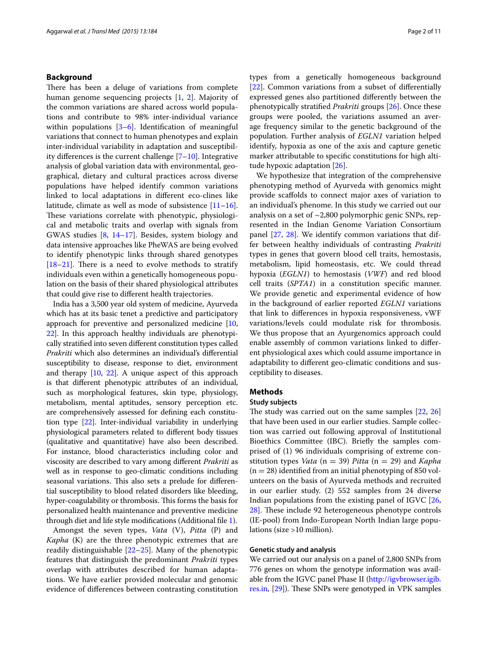## **Background**

There has been a deluge of variations from complete human genome sequencing projects [[1,](#page-9-0) [2](#page-9-1)]. Majority of the common variations are shared across world populations and contribute to 98% inter-individual variance within populations [[3–](#page-9-2)[6](#page-9-3)]. Identification of meaningful variations that connect to human phenotypes and explain inter-individual variability in adaptation and susceptibility differences is the current challenge [[7–](#page-9-4)[10](#page-9-5)]. Integrative analysis of global variation data with environmental, geographical, dietary and cultural practices across diverse populations have helped identify common variations linked to local adaptations in different eco-clines like latitude, climate as well as mode of subsistence  $[11-16]$  $[11-16]$  $[11-16]$ . These variations correlate with phenotypic, physiological and metabolic traits and overlap with signals from GWAS studies [\[8](#page-9-8), [14–](#page-9-9)[17](#page-9-10)]. Besides, system biology and data intensive approaches like PheWAS are being evolved to identify phenotypic links through shared genotypes [[18–](#page-9-11)[21](#page-9-12)]. There is a need to evolve methods to stratify individuals even within a genetically homogeneous population on the basis of their shared physiological attributes that could give rise to different health trajectories.

India has a 3,500 year old system of medicine, Ayurveda which has at its basic tenet a predictive and participatory approach for preventive and personalized medicine [[10](#page-9-5), [22](#page-9-13)]. In this approach healthy individuals are phenotypically stratified into seven different constitution types called Prakriti which also determines an individual's differential susceptibility to disease, response to diet, environment and therapy [[10](#page-9-5), [22](#page-9-13)]. A unique aspect of this approach is that different phenotypic attributes of an individual, such as morphological features, skin type, physiology, metabolism, mental aptitudes, sensory perception etc. are comprehensively assessed for defining each constitution type [[22\]](#page-9-13). Inter-individual variability in underlying physiological parameters related to different body tissues (qualitative and quantitative) have also been described. For instance, blood characteristics including color and viscosity are described to vary among different Prakriti as well as in response to geo-climatic conditions including seasonal variations. This also sets a prelude for differential susceptibility to blood related disorders like bleeding, hyper-coagulability or thrombosis. This forms the basis for personalized health maintenance and preventive medicine through diet and life style modifications (Additional file [1](#page-9-14)).

Amongst the seven types, Vata (V), Pitta (P) and Kapha (K) are the three phenotypic extremes that are readily distinguishable [[22–](#page-9-13)[25](#page-9-15)]. Many of the phenotypic features that distinguish the predominant Prakriti types overlap with attributes described for human adaptations. We have earlier provided molecular and genomic evidence of differences between contrasting constitution types from a genetically homogeneous background [[22\]](#page-9-13). Common variations from a subset of differentially expressed genes also partitioned differently between the phenotypically stratified Prakriti groups [[26\]](#page-9-16). Once these groups were pooled, the variations assumed an average frequency similar to the genetic background of the population. Further analysis of EGLN1 variation helped identify, hypoxia as one of the axis and capture genetic marker attributable to specific constitutions for high altitude hypoxic adaptation [[26\]](#page-9-16).

We hypothesize that integration of the comprehensive phenotyping method of Ayurveda with genomics might provide scaffolds to connect major axes of variation to an individual's phenome. In this study we carried out our analysis on a set of ~2,800 polymorphic genic SNPs, represented in the Indian Genome Variation Consortium panel [[27](#page-9-17), [28](#page-9-18)]. We identify common variations that differ between healthy individuals of contrasting Prakriti types in genes that govern blood cell traits, hemostasis, metabolism, lipid homeostasis, etc. We could thread hypoxia (EGLN1) to hemostasis (VWF) and red blood cell traits (SPTA1) in a constitution specific manner. We provide genetic and experimental evidence of how in the background of earlier reported EGLN1 variations that link to differences in hypoxia responsiveness, vWF variations/levels could modulate risk for thrombosis. We thus propose that an Ayurgenomics approach could enable assembly of common variations linked to different physiological axes which could assume importance in adaptability to different geo-climatic conditions and susceptibility to diseases.

## **Methods**

#### **Study subjects**

The study was carried out on the same samples [\[22](#page-9-13), [26](#page-9-16)] that have been used in our earlier studies. Sample collection was carried out following approval of Institutional Bioethics Committee (IBC). Briefly the samples comprised of (1) 96 individuals comprising of extreme constitution types Vata ( $n = 39$ ) Pitta ( $n = 29$ ) and Kapha  $(n = 28)$  identified from an initial phenotyping of 850 volunteers on the basis of Ayurveda methods and recruited in our earlier study. (2) 552 samples from 24 diverse Indian populations from the existing panel of IGVC [[26](#page-9-16), [28\]](#page-9-18). These include 92 heterogeneous phenotype controls (IE-pool) from Indo-European North Indian large populations (size >10 million).

## **Genetic study and analysis**

We carried out our analysis on a panel of 2,800 SNPs from 776 genes on whom the genotype information was available from the IGVC panel Phase II [\(http://igvbrowser.igib.](http://igvbrowser.igib.res.in) [res.in,](http://igvbrowser.igib.res.in) [\[29\]](#page-9-19)). These SNPs were genotyped in VPK samples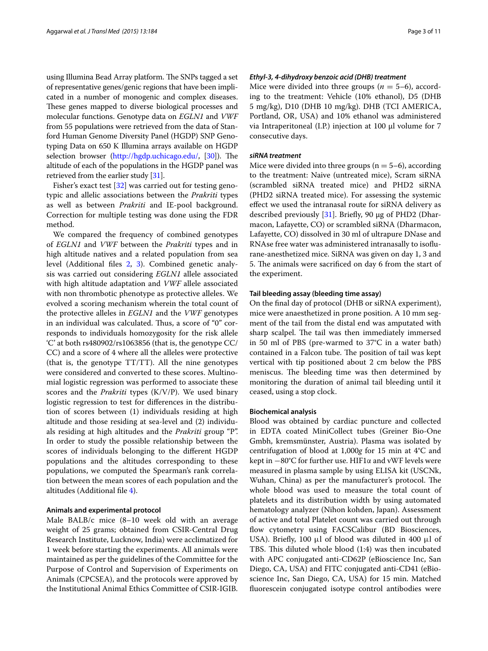using Illumina Bead Array platform. The SNPs tagged a set of representative genes/genic regions that have been implicated in a number of monogenic and complex diseases. These genes mapped to diverse biological processes and molecular functions. Genotype data on EGLN1 and VWF from 55 populations were retrieved from the data of Stanford Human Genome Diversity Panel (HGDP) SNP Genotyping Data on 650 K Illumina arrays available on HGDP selection browser (<http://hgdp.uchicago.edu/>, [\[30\]](#page-10-0)). The altitude of each of the populations in the HGDP panel was retrieved from the earlier study [\[31\]](#page-10-1).

Fisher's exact test [[32\]](#page-10-2) was carried out for testing genotypic and allelic associations between the Prakriti types as well as between Prakriti and IE-pool background. Correction for multiple testing was done using the FDR method.

We compared the frequency of combined genotypes of EGLN1 and VWF between the Prakriti types and in high altitude natives and a related population from sea level (Additional files [2](#page-9-20), [3\)](#page-9-21). Combined genetic analysis was carried out considering EGLN1 allele associated with high altitude adaptation and VWF allele associated with non thrombotic phenotype as protective alleles. We evolved a scoring mechanism wherein the total count of the protective alleles in EGLN1 and the VWF genotypes in an individual was calculated. Thus, a score of "0" corresponds to individuals homozygosity for the risk allele 'C' at both rs480902/rs1063856 (that is, the genotype CC/ CC) and a score of 4 where all the alleles were protective (that is, the genotype TT/TT). All the nine genotypes were considered and converted to these scores. Multinomial logistic regression was performed to associate these scores and the *Prakriti* types  $(K/V/P)$ . We used binary logistic regression to test for differences in the distribution of scores between (1) individuals residing at high altitude and those residing at sea-level and (2) individuals residing at high altitudes and the Prakriti group "P". In order to study the possible relationship between the scores of individuals belonging to the different HGDP populations and the altitudes corresponding to these populations, we computed the Spearman's rank correlation between the mean scores of each population and the altitudes (Additional file [4\)](#page-9-22).

## **Animals and experimental protocol**

Male BALB/c mice (8–10 week old with an average weight of 25 grams; obtained from CSIR-Central Drug Research Institute, Lucknow, India) were acclimatized for 1 week before starting the experiments. All animals were maintained as per the guidelines of the Committee for the Purpose of Control and Supervision of Experiments on Animals (CPCSEA), and the protocols were approved by the Institutional Animal Ethics Committee of CSIR-IGIB.

## **Ethyl-3, 4-dihydroxy benzoic acid (DHB) treatment**

Mice were divided into three groups ( $n = 5-6$ ), according to the treatment: Vehicle (10% ethanol), D5 (DHB 5 mg/kg), D10 (DHB 10 mg/kg). DHB (TCI AMERICA, Portland, OR, USA) and 10% ethanol was administered via Intraperitoneal (I.P.) injection at 100 µl volume for 7 consecutive days.

### **siRNA treatment**

Mice were divided into three groups ( $n = 5-6$ ), according to the treatment: Naive (untreated mice), Scram siRNA (scrambled siRNA treated mice) and PHD2 siRNA (PHD2 siRNA treated mice). For assessing the systemic effect we used the intranasal route for siRNA delivery as described previously [[31\]](#page-10-1). Briefly, 90 µg of PHD2 (Dharmacon, Lafayette, CO) or scrambled siRNA (Dharmacon, Lafayette, CO) dissolved in 30 ml of ultrapure DNase and RNAse free water was administered intranasally to isoflurane-anesthetized mice. SiRNA was given on day 1, 3 and 5. The animals were sacrificed on day 6 from the start of the experiment.

## **Tail bleeding assay (bleeding time assay)**

On the final day of protocol (DHB or siRNA experiment), mice were anaesthetized in prone position. A 10 mm segment of the tail from the distal end was amputated with sharp scalpel. The tail was then immediately immersed in 50 ml of PBS (pre-warmed to 37°C in a water bath) contained in a Falcon tube. The position of tail was kept vertical with tip positioned about 2 cm below the PBS meniscus. The bleeding time was then determined by monitoring the duration of animal tail bleeding until it ceased, using a stop clock.

## **Biochemical analysis**

Blood was obtained by cardiac puncture and collected in EDTA coated MiniCollect tubes (Greiner Bio-One Gmbh, kremsmünster, Austria). Plasma was isolated by centrifugation of blood at 1,000g for 15 min at 4°C and kept in −80°C for further use. HIF1α and vWF levels were measured in plasma sample by using ELISA kit (USCNk, Wuhan, China) as per the manufacturer's protocol. The whole blood was used to measure the total count of platelets and its distribution width by using automated hematology analyzer (Nihon kohden, Japan). Assessment of active and total Platelet count was carried out through flow cytometry using FACSCalibur (BD Biosciences, USA). Briefly, 100  $\mu$ l of blood was diluted in 400  $\mu$ l of TBS. This diluted whole blood (1:4) was then incubated with APC conjugated anti-CD62P (eBioscience Inc, San Diego, CA, USA) and FITC conjugated anti-CD41 (eBioscience Inc, San Diego, CA, USA) for 15 min. Matched fluorescein conjugated isotype control antibodies were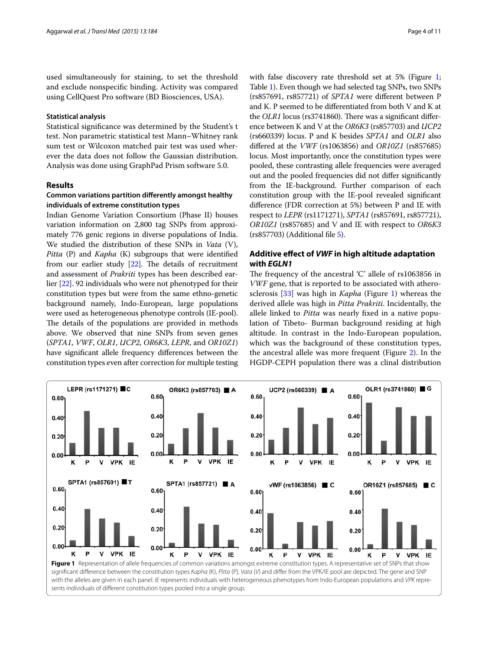used simultaneously for staining, to set the threshold and exclude nonspecific binding. Activity was compared using CellQuest Pro software (BD Biosciences, USA).

### **Statistical analysis**

Statistical significance was determined by the Student's t test. Non parametric statistical test Mann–Whitney rank sum test or Wilcoxon matched pair test was used wherever the data does not follow the Gaussian distribution. Analysis was done using GraphPad Prism software 5.0.

## **Results**

## **Common variations partition differently amongst healthy individuals of extreme constitution types**

Indian Genome Variation Consortium (Phase II) houses variation information on 2,800 tag SNPs from approximately 776 genic regions in diverse populations of India. We studied the distribution of these SNPs in *Vata* (V), Pitta (P) and Kapha (K) subgroups that were identified from our earlier study [\[22](#page-9-13)]. The details of recruitment and assessment of *Prakriti* types has been described earlier [\[22\]](#page-9-13). 92 individuals who were not phenotyped for their constitution types but were from the same ethno-genetic background namely, Indo-European, large populations were used as heterogeneous phenotype controls (IE-pool). The details of the populations are provided in methods above. We observed that nine SNPs from seven genes (SPTA1, VWF, OLR1, UCP2, OR6K3, LEPR, and OR10Z1) have significant allele frequency differences between the constitution types even after correction for multiple testing

with false discovery rate threshold set at 5% (Figure [1](#page-4-0); Table [1\)](#page-4-0). Even though we had selected tag SNPs, two SNPs (rs857691, rs857721) of SPTA1 were different between P and K. P seemed to be differentiated from both V and K at the OLR1 locus (rs3741860). There was a significant difference between K and V at the OR6K3 (rs857703) and UCP2 (rs660339) locus. P and K besides SPTA1 and OLR1 also differed at the VWF (rs1063856) and OR10Z1 (rs857685) locus. Most importantly, once the constitution types were pooled, these contrasting allele frequencies were averaged out and the pooled frequencies did not differ significantly from the IE-background. Further comparison of each constitution group with the IE-pool revealed significant difference (FDR correction at 5%) between P and IE with respect to LEPR (rs1171271), SPTA1 (rs857691, rs857721), OR10Z1 (rs857685) and V and IE with respect to OR6K3 (rs857703) (Additional file [5](#page-9-23)).

## **Additive effect of VWF in high altitude adaptation with EGLN1**

The frequency of the ancestral 'C' allele of rs1063856 in VWF gene, that is reported to be associated with atherosclerosis [[33\]](#page-10-3) was high in Kapha (Figure [1](#page-3-0)) whereas the derived allele was high in Pitta Prakriti. Incidentally, the allele linked to Pitta was nearly fixed in a native population of Tibeto- Burman background residing at high altitude. In contrast in the Indo-European population, which was the background of these constitution types, the ancestral allele was more frequent (Figure [2\)](#page-5-0). In the HGDP-CEPH population there was a clinal distribution

<span id="page-3-0"></span>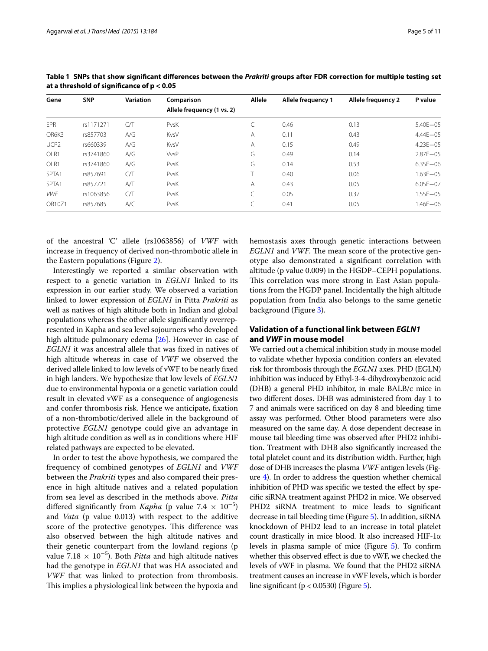| Gene             | <b>SNP</b> | <b>Variation</b> | Comparison                 | <b>Allele</b> | Allele frequency 1 | Allele frequency 2 | P value      |
|------------------|------------|------------------|----------------------------|---------------|--------------------|--------------------|--------------|
|                  |            |                  | Allele frequency (1 vs. 2) |               |                    |                    |              |
| <b>EPR</b>       | rs1171271  | СЛ               | PvsK                       |               | 0.46               | 0.13               | $5.40E - 05$ |
| OR6K3            | rs857703   | A/G              | KvsV                       | A             | 0.11               | 0.43               | $4.44E - 05$ |
| UCP <sub>2</sub> | rs660339   | A/G              | KvsV                       | Α             | 0.15               | 0.49               | $4.23E - 05$ |
| OLR1             | rs3741860  | A/G              | <b>VvsP</b>                | G             | 0.49               | 0.14               | $2.87E - 05$ |
| OLR1             | rs3741860  | A/G              | PvsK                       | G             | 0.14               | 0.53               | $6.35E - 06$ |
| SPTA1            | rs857691   | C/T              | PvsK                       |               | 0.40               | 0.06               | $1.63E - 05$ |
| SPTA1            | rs857721   | A/T              | PvsK                       | A             | 0.43               | 0.05               | $6.05E - 07$ |
| <b>VWF</b>       | rs1063856  | C/T              | PvsK                       |               | 0.05               | 0.37               | $1.55E - 05$ |
| OR10Z1           | rs857685   | A/C              | PvsK                       |               | 0.41               | 0.05               | $1.46E - 06$ |

<span id="page-4-0"></span>**Table 1 SNPs that show significant differences between the Prakriti groups after FDR correction for multiple testing set at a threshold of significance of p < 0.05**

of the ancestral 'C' allele (rs1063856) of VWF with increase in frequency of derived non-thrombotic allele in the Eastern populations (Figure [2](#page-5-0)).

Interestingly we reported a similar observation with respect to a genetic variation in EGLN1 linked to its expression in our earlier study. We observed a variation linked to lower expression of EGLN1 in Pitta Prakriti as well as natives of high altitude both in Indian and global populations whereas the other allele significantly overrepresented in Kapha and sea level sojourners who developed high altitude pulmonary edema [[26](#page-9-16)]. However in case of EGLN1 it was ancestral allele that was fixed in natives of high altitude whereas in case of VWF we observed the derived allele linked to low levels of vWF to be nearly fixed in high landers. We hypothesize that low levels of EGLN1 due to environmental hypoxia or a genetic variation could result in elevated vWF as a consequence of angiogenesis and confer thrombosis risk. Hence we anticipate, fixation of a non-thrombotic/derived allele in the background of protective EGLN1 genotype could give an advantage in high altitude condition as well as in conditions where HIF related pathways are expected to be elevated.

In order to test the above hypothesis, we compared the frequency of combined genotypes of EGLN1 and VWF between the *Prakriti* types and also compared their presence in high altitude natives and a related population from sea level as described in the methods above. Pitta differed significantly from Kapha (p value  $7.4 \times 10^{-5}$ ) and Vata (p value 0.013) with respect to the additive score of the protective genotypes. This difference was also observed between the high altitude natives and their genetic counterpart from the lowland regions (p value 7.18  $\times$  10<sup>-5</sup>). Both *Pitta* and high altitude natives had the genotype in EGLN1 that was HA associated and VWF that was linked to protection from thrombosis. This implies a physiological link between the hypoxia and

hemostasis axes through genetic interactions between EGLN1 and VWF. The mean score of the protective genotype also demonstrated a significant correlation with altitude (p value 0.009) in the HGDP–CEPH populations. This correlation was more strong in East Asian populations from the HGDP panel. Incidentally the high altitude population from India also belongs to the same genetic background (Figure [3](#page-6-0)).

## **Validation of a functional link between EGLN1 and VWF in mouse model**

We carried out a chemical inhibition study in mouse model to validate whether hypoxia condition confers an elevated risk for thrombosis through the EGLN1 axes. PHD (EGLN) inhibition was induced by Ethyl-3-4-dihydroxybenzoic acid (DHB) a general PHD inhibitor, in male BALB/c mice in two different doses. DHB was administered from day 1 to 7 and animals were sacrificed on day 8 and bleeding time assay was performed. Other blood parameters were also measured on the same day. A dose dependent decrease in mouse tail bleeding time was observed after PHD2 inhibition. Treatment with DHB also significantly increased the total platelet count and its distribution width. Further, high dose of DHB increases the plasma VWF antigen levels (Figure [4\)](#page-6-1). In order to address the question whether chemical inhibition of PHD was specific we tested the effect by specific siRNA treatment against PHD2 in mice. We observed PHD2 siRNA treatment to mice leads to significant decrease in tail bleeding time (Figure [5\)](#page-7-0). In addition, siRNA knockdown of PHD2 lead to an increase in total platelet count drastically in mice blood. It also increased HIF-1α levels in plasma sample of mice (Figure [5](#page-7-0)). To confirm whether this observed effect is due to vWF, we checked the levels of vWF in plasma. We found that the PHD2 siRNA treatment causes an increase in vWF levels, which is border line significant ( $p < 0.0530$ ) (Figure [5](#page-7-0)).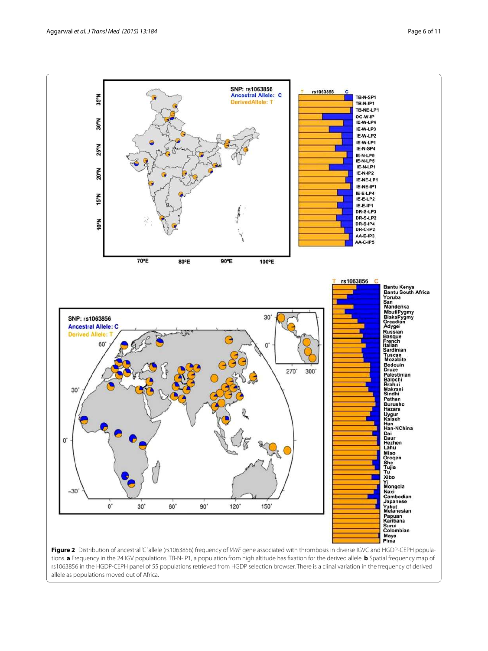

<span id="page-5-0"></span>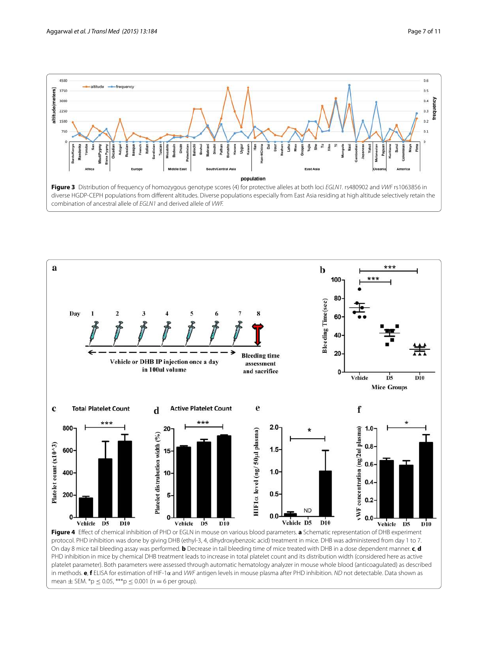



<span id="page-6-1"></span><span id="page-6-0"></span>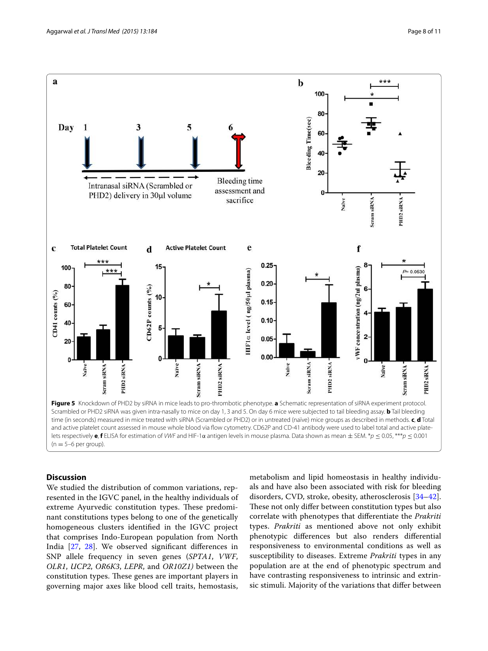

## <span id="page-7-0"></span>**Discussion**

We studied the distribution of common variations, represented in the IGVC panel, in the healthy individuals of extreme Ayurvedic constitution types. These predominant constitutions types belong to one of the genetically homogeneous clusters identified in the IGVC project that comprises Indo-European population from North India [\[27](#page-9-17), [28](#page-9-18)]. We observed significant differences in SNP allele frequency in seven genes (SPTA1, VWF, OLR1, UCP2, OR6K3, LEPR, and OR10Z1) between the constitution types. These genes are important players in governing major axes like blood cell traits, hemostasis, metabolism and lipid homeostasis in healthy individuals and have also been associated with risk for bleeding disorders, CVD, stroke, obesity, atherosclerosis [\[34](#page-10-4)[–42](#page-10-5)]. These not only differ between constitution types but also correlate with phenotypes that differentiate the Prakriti types. Prakriti as mentioned above not only exhibit phenotypic differences but also renders differential responsiveness to environmental conditions as well as susceptibility to diseases. Extreme *Prakriti* types in any population are at the end of phenotypic spectrum and have contrasting responsiveness to intrinsic and extrinsic stimuli. Majority of the variations that differ between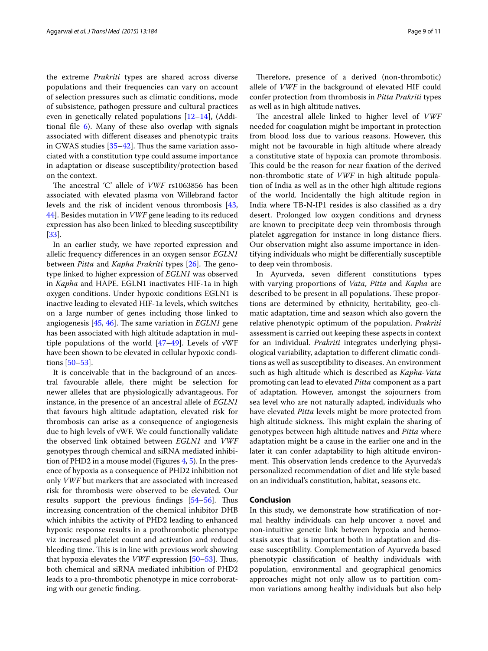the extreme Prakriti types are shared across diverse populations and their frequencies can vary on account of selection pressures such as climatic conditions, mode of subsistence, pathogen pressure and cultural practices even in genetically related populations  $[12-14]$  $[12-14]$ , (Additional file [6](#page-9-25)). Many of these also overlap with signals associated with different diseases and phenotypic traits in GWAS studies [[35–](#page-10-6)[42\]](#page-10-5). Thus the same variation associated with a constitution type could assume importance in adaptation or disease susceptibility/protection based on the context.

The ancestral 'C' allele of VWF rs1063856 has been associated with elevated plasma von Willebrand factor levels and the risk of incident venous thrombosis [\[43](#page-10-7), [44\]](#page-10-8). Besides mutation in *VWF* gene leading to its reduced expression has also been linked to bleeding susceptibility [[33\]](#page-10-3).

In an earlier study, we have reported expression and allelic frequency differences in an oxygen sensor EGLN1 between *Pitta* and *Kapha Prakriti* types [\[26\]](#page-9-16). The genotype linked to higher expression of EGLN1 was observed in Kapha and HAPE. EGLN1 inactivates HIF-1a in high oxygen conditions. Under hypoxic conditions EGLN1 is inactive leading to elevated HIF-1a levels, which switches on a large number of genes including those linked to angiogenesis  $[45, 46]$  $[45, 46]$  $[45, 46]$  $[45, 46]$ . The same variation in *EGLN1* gene has been associated with high altitude adaptation in multiple populations of the world  $[47-49]$  $[47-49]$ . Levels of vWF have been shown to be elevated in cellular hypoxic conditions [\[50](#page-10-13)[–53](#page-10-14)].

It is conceivable that in the background of an ancestral favourable allele, there might be selection for newer alleles that are physiologically advantageous. For instance, in the presence of an ancestral allele of EGLN1 that favours high altitude adaptation, elevated risk for thrombosis can arise as a consequence of angiogenesis due to high levels of vWF. We could functionally validate the observed link obtained between EGLN1 and VWF genotypes through chemical and siRNA mediated inhibition of PHD2 in a mouse model (Figures [4,](#page-6-1) [5\)](#page-7-0). In the presence of hypoxia as a consequence of PHD2 inhibition not only VWF but markers that are associated with increased risk for thrombosis were observed to be elevated. Our results support the previous findings [[54–](#page-10-15)[56\]](#page-10-16). Thus increasing concentration of the chemical inhibitor DHB which inhibits the activity of PHD2 leading to enhanced hypoxic response results in a prothrombotic phenotype viz increased platelet count and activation and reduced bleeding time. This is in line with previous work showing that hypoxia elevates the VWF expression [\[50](#page-10-13)[–53\]](#page-10-14). Thus, both chemical and siRNA mediated inhibition of PHD2 leads to a pro-thrombotic phenotype in mice corroborating with our genetic finding.

Therefore, presence of a derived (non-thrombotic) allele of VWF in the background of elevated HIF could confer protection from thrombosis in Pitta Prakriti types as well as in high altitude natives.

The ancestral allele linked to higher level of VWF needed for coagulation might be important in protection from blood loss due to various reasons. However, this might not be favourable in high altitude where already a constitutive state of hypoxia can promote thrombosis. This could be the reason for near fixation of the derived non-thrombotic state of VWF in high altitude population of India as well as in the other high altitude regions of the world. Incidentally the high altitude region in India where TB-N-IP1 resides is also classified as a dry desert. Prolonged low oxygen conditions and dryness are known to precipitate deep vein thrombosis through platelet aggregation for instance in long distance fliers. Our observation might also assume importance in identifying individuals who might be differentially susceptible to deep vein thrombosis.

In Ayurveda, seven different constitutions types with varying proportions of Vata, Pitta and Kapha are described to be present in all populations. These proportions are determined by ethnicity, heritability, geo-climatic adaptation, time and season which also govern the relative phenotypic optimum of the population. Prakriti assessment is carried out keeping these aspects in context for an individual. *Prakriti* integrates underlying physiological variability, adaptation to different climatic conditions as well as susceptibility to diseases. An environment such as high altitude which is described as Kapha-Vata promoting can lead to elevated Pitta component as a part of adaptation. However, amongst the sojourners from sea level who are not naturally adapted, individuals who have elevated Pitta levels might be more protected from high altitude sickness. This might explain the sharing of genotypes between high altitude natives and Pitta where adaptation might be a cause in the earlier one and in the later it can confer adaptability to high altitude environment. This observation lends credence to the Ayurveda's personalized recommendation of diet and life style based on an individual's constitution, habitat, seasons etc.

## **Conclusion**

In this study, we demonstrate how stratification of normal healthy individuals can help uncover a novel and non-intuitive genetic link between hypoxia and hemostasis axes that is important both in adaptation and disease susceptibility. Complementation of Ayurveda based phenotypic classification of healthy individuals with population, environmental and geographical genomics approaches might not only allow us to partition common variations among healthy individuals but also help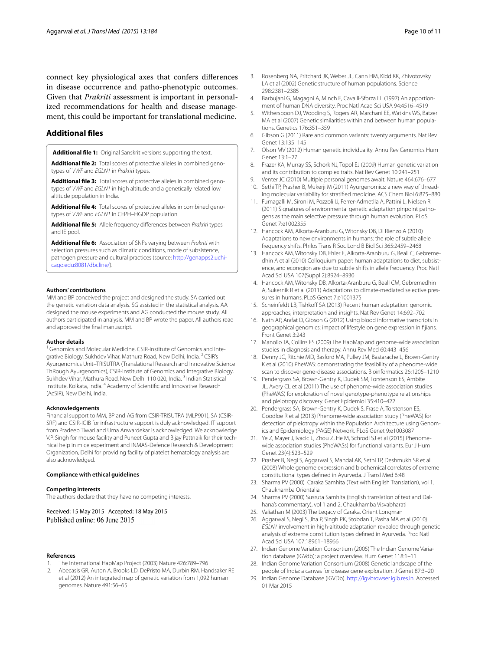connect key physiological axes that confers differences in disease occurrence and patho-phenotypic outcomes. Given that *Prakriti* assessment is important in personalized recommendations for health and disease management, this could be important for translational medicine.

## **Additional files**

<span id="page-9-20"></span><span id="page-9-14"></span>**Additional file 1:** Original Sanskrit versions supporting the text.

**Additional file 2:** Total scores of protective alleles in combined genotypes of VWF and EGLN1 in Prakrit*i* types.

**Additional file 3:** Total scores of protective alleles in combined genotypes of VWF and EGLN1 in high altitude and a genetically related low altitude population in India.

<span id="page-9-22"></span>**Additional file 4:** Total scores of protective alleles in combined genotypes of VWF and EGLN1 in CEPH–HGDP population.

<span id="page-9-25"></span>**Additional file 5:** Allele frequency differences between Prakriti types and IE pool.

**Additional file 6:** Association of SNPs varying between Prakriti with selection pressures such as climatic conditions, mode of subsistence pathogen pressure and cultural practices (source: [http://genapps2.uchi](http://genapps2.uchicago.edu:8081/dbcline/)[cago.edu:8081/dbcline/\)](http://genapps2.uchicago.edu:8081/dbcline/).

#### **Authors' contributions**

MM and BP conceived the project and designed the study. SA carried out the genetic variation data analysis. SG assisted in the statistical analysis. AA designed the mouse experiments and AG conducted the mouse study. All authors participated in analysis. MM and BP wrote the paper. All authors read and approved the final manuscript.

#### **Author details**

<sup>1</sup> Genomics and Molecular Medicine, CSIR-Institute of Genomics and Integrative Biology, Sukhdev Vihar, Mathura Road, New Delhi, India. <sup>2</sup> CSIR's Ayurgenomics Unit–TRISUTRA (Translational Research and Innovative Science ThRough Ayurgenomics), CSIR-Institute of Genomics and Integrative Biology, Sukhdev Vihar, Mathura Road, New Delhi 110 020, India.<sup>3</sup> Indian Statistical Institute, Kolkata, India. <sup>4</sup>Academy of Scientific and Innovative Research (AcSIR), New Delhi, India.

#### **Acknowledgements**

Financial support to MM, BP and AG from CSIR-TRISUTRA (MLP901), SA (CSIR-SRF) and CSIR-IGIB for infrastructure support is duly acknowledged. IT support from Pradeep Tiwari and Uma Anwardekar is acknowledged. We acknowledge V.P. Singh for mouse facility and Puneet Gupta and Bijay Pattnaik for their technical help in mice experiment and INMAS-Defence Research & Development Organization, Delhi for providing facility of platelet hematology analysis are also acknowledged.

#### **Compliance with ethical guidelines**

#### **Competing interests**

The authors declare that they have no competing interests.

Received: 15 May 2015 Accepted: 18 May 2015 Published online: 06 June 2015

#### **References**

- <span id="page-9-0"></span>1. The International HapMap Project (2003) Nature 426:789–796
- <span id="page-9-1"></span> 2. Abecasis GR, Auton A, Brooks LD, DePristo MA, Durbin RM, Handsaker RE et al (2012) An integrated map of genetic variation from 1,092 human genomes. Nature 491:56–65
- <span id="page-9-2"></span> 3. Rosenberg NA, Pritchard JK, Weber JL, Cann HM, Kidd KK, Zhivotovsky LA et al (2002) Genetic structure of human populations. Science 298:2381–2385
- 4. Barbujani G, Magagni A, Minch E, Cavalli-Sforza LL (1997) An apportionment of human DNA diversity. Proc Natl Acad Sci USA 94:4516–4519
- 5. Witherspoon DJ, Wooding S, Rogers AR, Marchani EE, Watkins WS, Batzer MA et al (2007) Genetic similarities within and between human populations. Genetics 176:351–359
- <span id="page-9-3"></span> 6. Gibson G (2011) Rare and common variants: twenty arguments. Nat Rev Genet 13:135–145
- <span id="page-9-4"></span> 7. Olson MV (2012) Human genetic individuality. Annu Rev Genomics Hum Genet 13:1–27
- <span id="page-9-21"></span><span id="page-9-8"></span> 8. Frazer KA, Murray SS, Schork NJ, Topol EJ (2009) Human genetic variation and its contribution to complex traits. Nat Rev Genet 10:241–251
- 9. Venter JC (2010) Multiple personal genomes await. Nature 464:676–677
- <span id="page-9-5"></span> 10. Sethi TP, Prasher B, Mukerji M (2011) Ayurgenomics: a new way of threading molecular variability for stratified medicine. ACS Chem Biol 6:875–880
- <span id="page-9-23"></span><span id="page-9-6"></span> 11. Fumagalli M, Sironi M, Pozzoli U, Ferrer-Admetlla A, Pattini L, Nielsen R (2011) Signatures of environmental genetic adaptation pinpoint pathogens as the main selective pressure through human evolution. PLoS Genet 7:e1002355
- <span id="page-9-24"></span> 12. Hancock AM, Alkorta-Aranburu G, Witonsky DB, Di Rienzo A (2010) Adaptations to new environments in humans: the role of subtle allele frequency shifts. Philos Trans R Soc Lond B Biol Sci 365:2459–2468
- 13. Hancock AM, Witonsky DB, Ehler E, Alkorta-Aranburu G, Beall C, Gebremedhin A et al (2010) Colloquium paper: human adaptations to diet, subsistence, and ecoregion are due to subtle shifts in allele frequency. Proc Natl Acad Sci USA 107(Suppl 2):8924–8930
- <span id="page-9-9"></span> 14. Hancock AM, Witonsky DB, Alkorta-Aranburu G, Beall CM, Gebremedhin A, Sukernik R et al (2011) Adaptations to climate-mediated selective pressures in humans. PLoS Genet 7:e1001375
- 15. Scheinfeldt LB, Tishkoff SA (2013) Recent human adaptation: genomic approaches, interpretation and insights. Nat Rev Genet 14:692–702
- <span id="page-9-7"></span> 16. Nath AP, Arafat D, Gibson G (2012) Using blood informative transcripts in geographical genomics: impact of lifestyle on gene expression in fijians. Front Genet 3:243
- <span id="page-9-10"></span> 17. Manolio TA, Collins FS (2009) The HapMap and genome-wide association studies in diagnosis and therapy. Annu Rev Med 60:443–456
- <span id="page-9-11"></span> 18. Denny JC, Ritchie MD, Basford MA, Pulley JM, Bastarache L, Brown-Gentry K et al (2010) PheWAS: demonstrating the feasibility of a phenome-wide scan to discover gene-disease associations. Bioinformatics 26:1205–1210
- 19. Pendergrass SA, Brown-Gentry K, Dudek SM, Torstenson ES, Ambite JL, Avery CL et al (2011) The use of phenome-wide association studies (PheWAS) for exploration of novel genotype-phenotype relationships and pleiotropy discovery. Genet Epidemiol 35:410–422
- 20. Pendergrass SA, Brown-Gentry K, Dudek S, Frase A, Torstenson ES, Goodloe R et al (2013) Phenome-wide association study (PheWAS) for detection of pleiotropy within the Population Architecture using Genomics and Epidemiology (PAGE) Network. PLoS Genet 9:e1003087
- <span id="page-9-12"></span> 21. Ye Z, Mayer J, Ivacic L, Zhou Z, He M, Schrodi SJ et al (2015) Phenomewide association studies (PheWASs) for functional variants. Eur J Hum Genet 23(4):523–529
- <span id="page-9-13"></span> 22. Prasher B, Negi S, Aggarwal S, Mandal AK, Sethi TP, Deshmukh SR et al (2008) Whole genome expression and biochemical correlates of extreme constitutional types defined in Ayurveda. J Transl Med 6:48
- 23. Sharma PV (2000) Caraka Samhita (Text with English Translation), vol 1. Chaukhamba Orientalia
- 24. Sharma PV (2000) Susruta Samhita (English translation of text and Dalhana's commentary), vol 1 and 2. Chaukhamba Visvabharati
- <span id="page-9-15"></span>25. Valiathan M (2003) The Legacy of Caraka. Orient Longman
- <span id="page-9-16"></span> 26. Aggarwal S, Negi S, Jha P, Singh PK, Stobdan T, Pasha MA et al (2010) EGLN1 involvement in high-altitude adaptation revealed through genetic analysis of extreme constitution types defined in Ayurveda. Proc Natl Acad Sci USA 107:18961–18966
- <span id="page-9-17"></span> 27. Indian Genome Variation Consortium (2005) The Indian Genome Variation database (IGVdb): a project overview. Hum Genet 118:1–11
- <span id="page-9-18"></span> 28. Indian Genome Variation Consortium (2008) Genetic landscape of the people of India: a canvas for disease gene exploration. J Genet 87:3–20
- <span id="page-9-19"></span> 29. Indian Genome Database (IGVDb). <http://igvbrowser.igib.res.in>. Accessed 01 Mar 2015